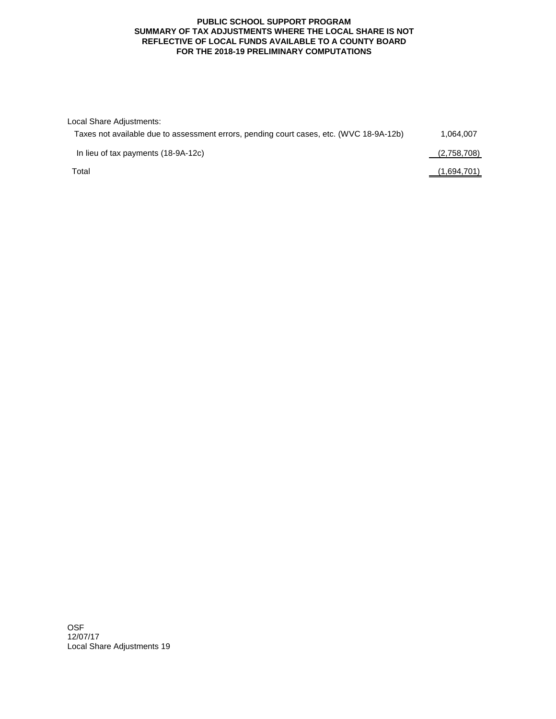## **PUBLIC SCHOOL SUPPORT PROGRAM SUMMARY OF TAX ADJUSTMENTS WHERE THE LOCAL SHARE IS NOT REFLECTIVE OF LOCAL FUNDS AVAILABLE TO A COUNTY BOARD FOR THE 2018-19 PRELIMINARY COMPUTATIONS**

| Local Share Adjustments:                                                                |             |
|-----------------------------------------------------------------------------------------|-------------|
| Taxes not available due to assessment errors, pending court cases, etc. (WVC 18-9A-12b) | 1.064.007   |
| In lieu of tax payments (18-9A-12c)                                                     | (2,758,708) |
| Total                                                                                   | (1,694,701) |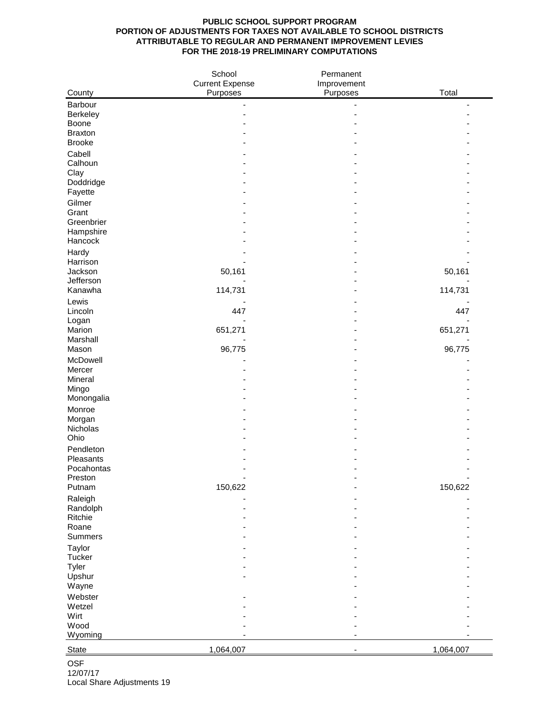## **PUBLIC SCHOOL SUPPORT PROGRAM PORTION OF ADJUSTMENTS FOR TAXES NOT AVAILABLE TO SCHOOL DISTRICTS ATTRIBUTABLE TO REGULAR AND PERMANENT IMPROVEMENT LEVIES FOR THE 2018-19 PRELIMINARY COMPUTATIONS**

|                       | School                 | Permanent   |           |
|-----------------------|------------------------|-------------|-----------|
|                       | <b>Current Expense</b> | Improvement | Total     |
| County                | Purposes               | Purposes    |           |
| Barbour<br>Berkeley   |                        |             |           |
| Boone                 |                        |             |           |
| <b>Braxton</b>        |                        |             |           |
| <b>Brooke</b>         |                        |             |           |
| Cabell                |                        |             |           |
| Calhoun               |                        |             |           |
| Clay<br>Doddridge     |                        |             |           |
| Fayette               |                        |             |           |
| Gilmer                |                        |             |           |
| Grant                 |                        |             |           |
| Greenbrier            |                        |             |           |
| Hampshire             |                        |             |           |
| Hancock               |                        |             |           |
| Hardy                 |                        |             |           |
| Harrison<br>Jackson   | 50,161                 |             | 50,161    |
| Jefferson             |                        |             |           |
| Kanawha               | 114,731                |             | 114,731   |
| Lewis                 |                        |             |           |
| Lincoln               | 447                    |             | 447       |
| Logan<br>Marion       | 651,271                |             | 651,271   |
| Marshall              |                        |             |           |
| Mason                 | 96,775                 |             | 96,775    |
| McDowell              |                        |             |           |
| Mercer                |                        |             |           |
| Mineral               |                        |             |           |
| Mingo<br>Monongalia   |                        |             |           |
| Monroe                |                        |             |           |
| Morgan                |                        |             |           |
| Nicholas              |                        |             |           |
| Ohio                  |                        |             |           |
| Pendleton             |                        |             |           |
| Pleasants             |                        |             |           |
| Pocahontas<br>Preston |                        |             |           |
| Putnam                | 150,622                |             | 150,622   |
| Raleigh               |                        |             |           |
| Randolph              |                        |             |           |
| Ritchie               |                        |             |           |
| Roane                 |                        |             |           |
| Summers               |                        |             |           |
| Taylor<br>Tucker      |                        |             |           |
| Tyler                 |                        |             |           |
| Upshur                |                        |             |           |
| Wayne                 |                        |             |           |
| Webster               |                        |             |           |
| Wetzel                |                        |             |           |
| Wirt<br>Wood          |                        |             |           |
| Wyoming               |                        |             |           |
|                       |                        |             |           |
| State                 | 1,064,007              |             | 1,064,007 |